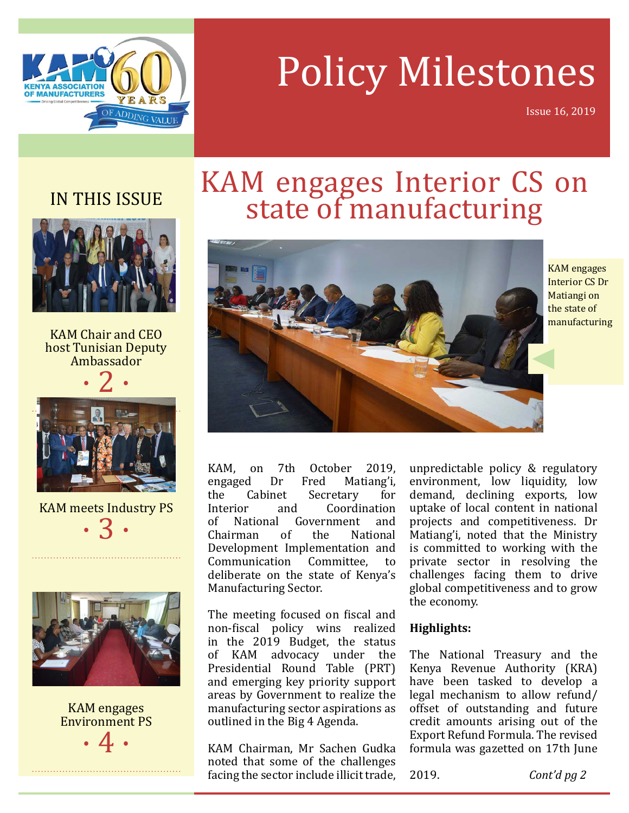

### Policy Milestones

Issue 16, 2019

#### IN THIS ISSUE



KAM Chair and CEO host Tunisian Deputy Ambassador





KAM meets Industry PS  $\cdot$  3  $\cdot$ 



#### KAM engages Environment PS  $\cdot$  4  $\cdot$

# KAM engages Interior CS on state of manufacturing



KAM engages Interior CS Dr Matiangi on the state of manufacturing

KAM, on 7th October 2019,<br>engaged Dr Fred Matiang'i, engaged Dr Fred Matiang'i,<br>the Cabinet Secretary for the Cabinet Secretary<br>Interior and Coordi Interior and Coordination<br>of National Government and of National Government and<br>Chairman of the National Chairman of the National Development Implementation and Communication Committee, to deliberate on the state of Kenya's Manufacturing Sector.

The meeting focused on fiscal and non-fiscal policy wins realized in the 2019 Budget, the status<br>of KAM advocacy under the advocacy under the Presidential Round Table (PRT) and emerging key priority support areas by Government to realize the manufacturing sector aspirations as outlined in the Big 4 Agenda.

KAM Chairman, Mr Sachen Gudka noted that some of the challenges facing the sector include illicit trade, unpredictable policy & regulatory environment, low liquidity, low demand, declining exports, low uptake of local content in national projects and competitiveness. Dr Matiang'i, noted that the Ministry is committed to working with the private sector in resolving the challenges facing them to drive global competitiveness and to grow the economy.

#### **Highlights:**

The National Treasury and the Kenya Revenue Authority (KRA) have been tasked to develop a legal mechanism to allow refund/ offset of outstanding and future credit amounts arising out of the Export Refund Formula. The revised formula was gazetted on 17th June

2019. *Cont'd pg 2*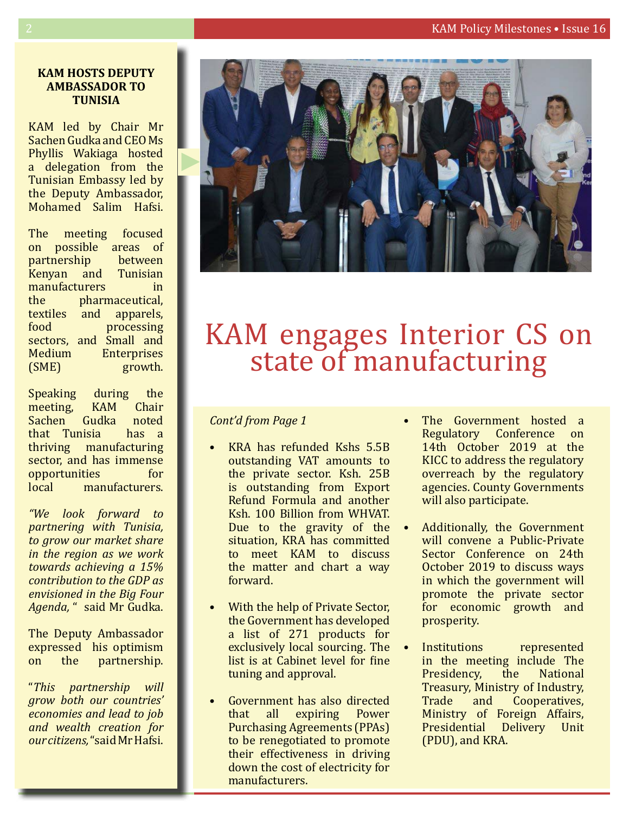#### **KAM hOSTS DEPUTY AMBASSaDOR TO TUNISIA**

KAM led by Chair Mr Sachen Gudka and CEO Ms Phyllis Wakiaga hosted a delegation from the Tunisian Embassy led by the Deputy Ambassador, Mohamed Salim Hafsi.

The meeting focused on possible areas of<br>partnership between partnership between<br>Kenvan and Tunisian Kenyan and Tunisian manufacturers<br>the pharm pharmaceutical,<br>and apparels, textiles and<br>food t processing sectors, and Small and<br>Medium Enterprises Medium Enterprises<br>(SME) growth. growth.

Speaking during the<br>meeting. KAM Chair meeting, KAM Chair<br>Sachen Gudka noted Sachen Gudka noted<br>that Tunisia has a that Tunisia thriving manufacturing sector, and has immense<br>opportunities for opportunities<br>local mar manufacturers.

*"We look forward to partnering with Tunisia, to grow our market share in the region as we work towards achieving a 15% contribution to the GDP as envisioned in the Big Four Agenda,* " said Mr Gudka.

The Deputy Ambassador expressed his optimism<br>on the partnership. partnership.

"*This partnership will grow both our countries' economies and lead to job and wealth creation for our citizens,* "said Mr Hafsi.



## KAM engages Interior CS on<br>state of manufacturing

#### *Cont'd from Page 1*

- KRA has refunded Kshs 5.5B outstanding VAT amounts to the private sector. Ksh. 25B is outstanding from Export Refund Formula and another Ksh. 100 Billion from WHVAT. Due to the gravity of the  $\bullet$ situation, KRA has committed to meet KAM to discuss the matter and chart a way forward.
- With the help of Private Sector, the Government has developed a list of 271 products for exclusively local sourcing. The list is at Cabinet level for fine tuning and approval.
- Government has also directed<br>that all expiring Power expiring Purchasing Agreements (PPAs) to be renegotiated to promote their effectiveness in driving down the cost of electricity for manufacturers.
- The Government hosted a Regulatory Conference on 14th October 2019 at the KICC to address the regulatory overreach by the regulatory agencies. County Governments will also participate.
- Additionally, the Government will convene a Public-Private Sector Conference on 24th October 2019 to discuss ways in which the government will promote the private sector for economic growth and prosperity.
- Institutions represented in the meeting include The<br>Presidency, the National Presidency, Treasury, Ministry of Industry,<br>Trade and Cooperatives, Cooperatives, Ministry of Foreign Affairs,<br>Presidential Delivery Unit Presidential (PDU), and KRA.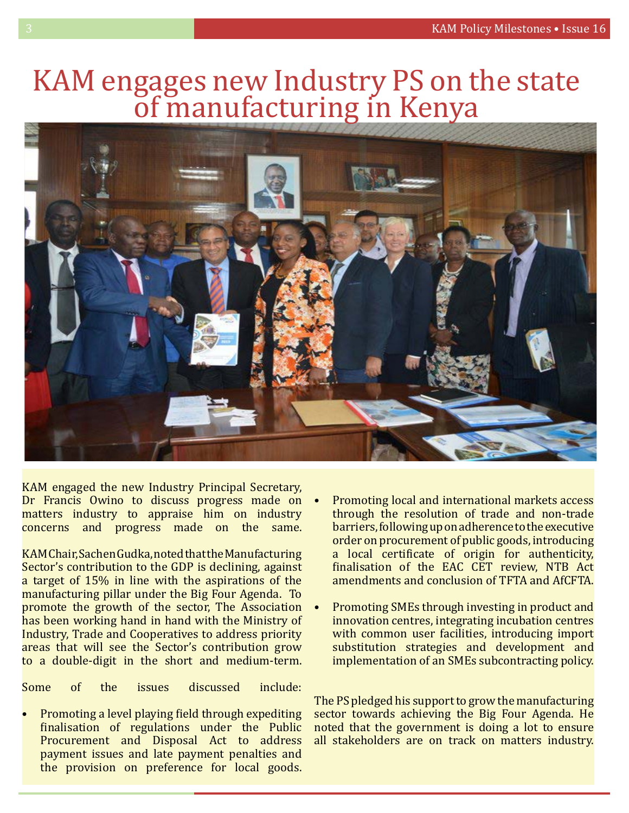### KAM engages new Industry PS on the state<br>of manufacturing in Kenya



KAM engaged the new Industry Principal Secretary, Dr Francis Owino to discuss progress made on matters industry to appraise him on industry concerns and progress made on the same.

KAM Chair, Sachen Gudka, noted that the Manufacturing Sector's contribution to the GDP is declining, against a target of 15% in line with the aspirations of the manufacturing pillar under the Big Four Agenda. To promote the growth of the sector, The Association has been working hand in hand with the Ministry of Industry, Trade and Cooperatives to address priority areas that will see the Sector's contribution grow to a double-digit in the short and medium-term.

Some of the issues discussed include:

• Promoting a level playing field through expediting finalisation of regulations under the Public Procurement and Disposal Act to address payment issues and late payment penalties and the provision on preference for local goods.

- Promoting local and international markets access through the resolution of trade and non-trade barriers, following up on adherence to the executive order on procurement of public goods, introducing a local certificate of origin for authenticity, finalisation of the EAC CET review, NTB Act amendments and conclusion of TFTA and AfCFTA.
- Promoting SMEs through investing in product and innovation centres, integrating incubation centres with common user facilities, introducing import substitution strategies and development and implementation of an SMEs subcontracting policy.

The PS pledged his support to grow the manufacturing sector towards achieving the Big Four Agenda. He noted that the government is doing a lot to ensure all stakeholders are on track on matters industry.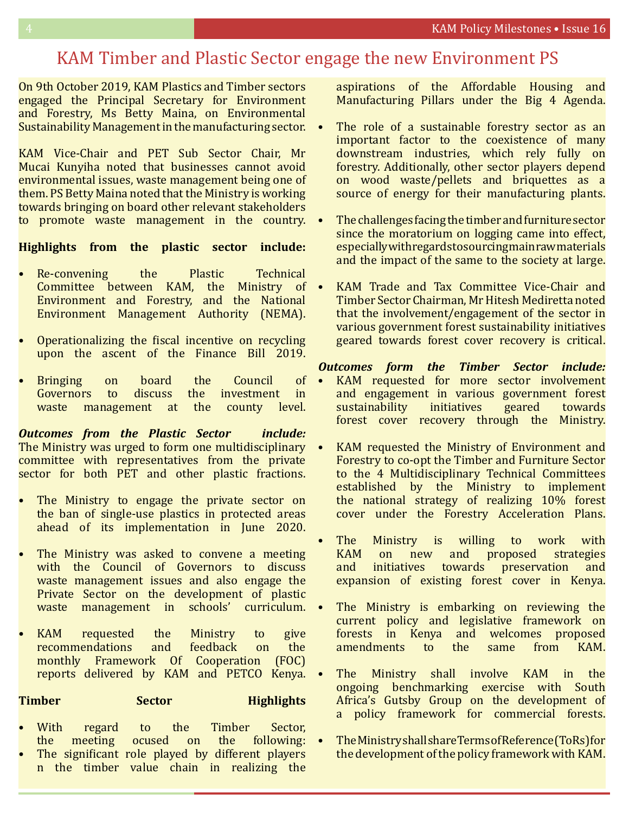#### KAM Timber and Plastic Sector engage the new Environment PS

On 9th October 2019, KAM Plastics and Timber sectors engaged the Principal Secretary for Environment and Forestry, Ms Betty Maina, on Environmental Sustainability Management in the manufacturing sector.

KAM Vice-Chair and PET Sub Sector Chair, Mr Mucai Kunyiha noted that businesses cannot avoid environmental issues, waste management being one of them. PS Betty Maina noted that the Ministry is working towards bringing on board other relevant stakeholders to promote waste management in the country.

#### **Highlights from the plastic sector include:**

- Re-convening the Plastic Technical<br>Committee between KAM the Ministry of Committee between KAM, the Environment and Forestry, and the National Environment Management Authority (NEMA).
- Operationalizing the fiscal incentive on recycling upon the ascent of the Finance Bill 2019.
- Bringing on board the Council of<br>Governors to discuss the investment in he investment in<br>the county level. waste management at

*Outcomes from the Plastic Sector include:*  The Ministry was urged to form one multidisciplinary • committee with representatives from the private sector for both PET and other plastic fractions.

- The Ministry to engage the private sector on the ban of single-use plastics in protected areas ahead of its implementation in June 2020.
- The Ministry was asked to convene a meeting with the Council of Governors to discuss waste management issues and also engage the Private Sector on the development of plastic waste management in schools' curriculum.
- KAM requested the Ministry to give<br>recommendations and feedback on the recommendations monthly Framework Of Cooperation (FOC) reports delivered by KAM and PETCO Kenya.

#### **Timber Sector Highlights**

- With regard to the Timber Sector, the meeting ocused on the following:
- The significant role played by different players n the timber value chain in realizing the

aspirations of the Affordable Housing and Manufacturing Pillars under the Big 4 Agenda.

- The role of a sustainable forestry sector as an important factor to the coexistence of many downstream industries, which rely fully on forestry. Additionally, other sector players depend on wood waste/pellets and briquettes as a source of energy for their manufacturing plants.
- The challenges facing the timber and furniture sector since the moratorium on logging came into effect, especially with regards to sourcing main raw materials and the impact of the same to the society at large.
- KAM Trade and Tax Committee Vice-Chair and Timber Sector Chairman, Mr Hitesh Mediretta noted that the involvement/engagement of the sector in various government forest sustainability initiatives geared towards forest cover recovery is critical.

#### *Outcomes form the Timber Sector include:*

- KAM requested for more sector involvement and engagement in various government forest<br>sustainability initiatives geared towards sustainability forest cover recovery through the Ministry.
- KAM requested the Ministry of Environment and Forestry to co-opt the Timber and Furniture Sector to the 4 Multidisciplinary Technical Committees established by the Ministry to implement the national strategy of realizing 10% forest cover under the Forestry Acceleration Plans.
- The Ministry is willing to work with<br>KAM on new and proposed strategies KAM on new and proposed strategies<br>and initiatives towards preservation and preservation expansion of existing forest cover in Kenya.
- The Ministry is embarking on reviewing the current policy and legislative framework on forests in Kenya and welcomes proposed<br>amendments to the same from KAM. amendments to
- The Ministry shall involve KAM in the ongoing benchmarking exercise with South Africa's Gutsby Group on the development of a policy framework for commercial forests.
- The Ministry shall share Terms of Reference (ToRs) for the development of the policy framework with KAM.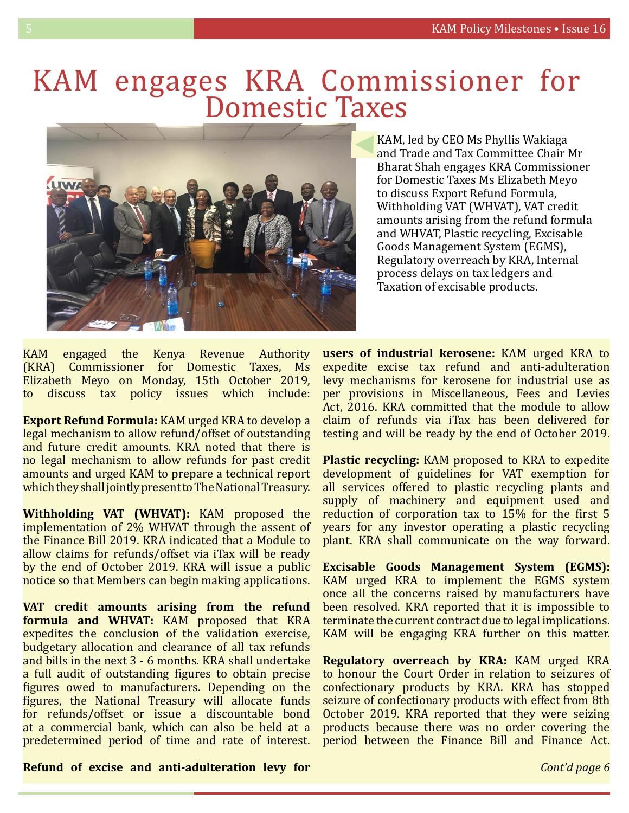### KAM engages KRA Commissioner for<br>Domestic Taxes



KAM, led by CEO Ms Phyllis Wakiaga and Trade and Tax Committee Chair Mr Bharat Shah engages KRA Commissioner for Domestic Taxes Ms Elizabeth Meyo to discuss Export Refund Formula, Withholding VAT (WHVAT), VAT credit amounts arising from the refund formula and WHVAT, Plastic recycling, Excisable Goods Management System (EGMS), Regulatory overreach by KRA, Internal process delays on tax ledgers and Taxation of excisable products.

KAM engaged the Kenya Revenue Authority (KRA) Commissioner for Domestic Taxes, Ms Elizabeth Meyo on Monday, 15th October 2019,<br>to discuss tax policy issues which include: discuss tax policy issues which include:

**Export Refund Formula:** KAM urged KRA to develop a legal mechanism to allow refund/offset of outstanding and future credit amounts. KRA noted that there is no legal mechanism to allow refunds for past credit amounts and urged KAM to prepare a technical report which they shall jointly present to The National Treasury.

**Withholding VAT (WHVAT):** KAM proposed the implementation of 2% WHVAT through the assent of the Finance Bill 2019. KRA indicated that a Module to allow claims for refunds/offset via iTax will be ready by the end of October 2019. KRA will issue a public notice so that Members can begin making applications.

**VAT credit amounts arising from the refund formula and WHVAT:** KAM proposed that KRA expedites the conclusion of the validation exercise, budgetary allocation and clearance of all tax refunds and bills in the next 3 - 6 months. KRA shall undertake a full audit of outstanding figures to obtain precise figures owed to manufacturers. Depending on the figures, the National Treasury will allocate funds for refunds/offset or issue a discountable bond at a commercial bank, which can also be held at a predetermined period of time and rate of interest.

**users of industrial kerosene:** KAM urged KRA to expedite excise tax refund and anti-adulteration levy mechanisms for kerosene for industrial use as per provisions in Miscellaneous, Fees and Levies Act. 2016. KRA committed that the module to allow claim of refunds via iTax has been delivered for testing and will be ready by the end of October 2019.

**Plastic recycling:** KAM proposed to KRA to expedite development of guidelines for VAT exemption for all services offered to plastic recycling plants and supply of machinery and equipment used and reduction of corporation tax to 15% for the first 5 years for any investor operating a plastic recycling plant. KRA shall communicate on the way forward.

**Excisable Goods Management System (EGMS):** KAM urged KRA to implement the EGMS system once all the concerns raised by manufacturers have been resolved. KRA reported that it is impossible to terminate the current contract due to legal implications. KAM will be engaging KRA further on this matter.

**Regulatory overreach by KRA:** KAM urged KRA to honour the Court Order in relation to seizures of confectionary products by KRA. KRA has stopped seizure of confectionary products with effect from 8th October 2019. KRA reported that they were seizing products because there was no order covering the period between the Finance Bill and Finance Act.

#### **Refund of excise and anti-adulteration levy for**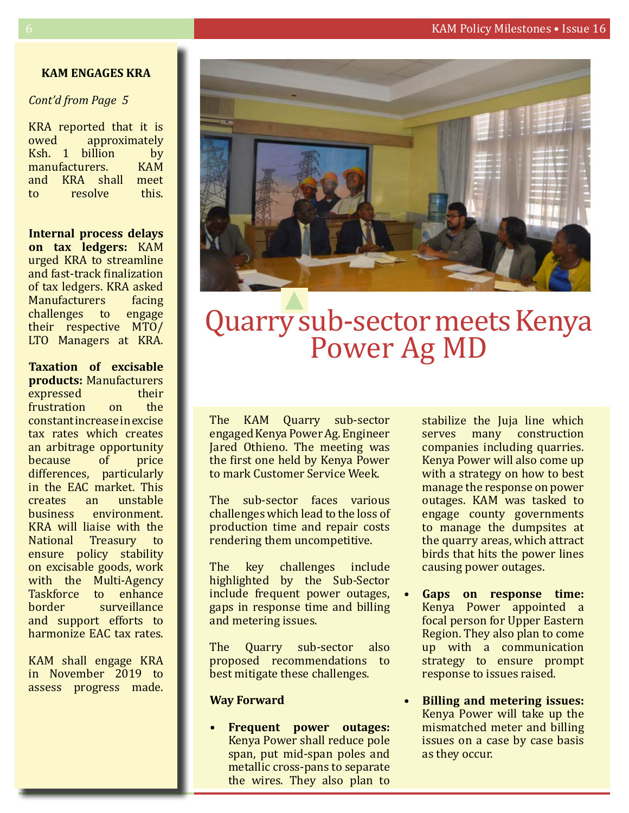#### **KAM ENGAGES KRA**

#### *Cont'd from Page 5*

KRA reported that it is<br>owed approximately approximately<br>illion by Ksh. 1 billion by<br>manufacturers. KAM manufacturers. KAM<br>and KRA shall meet and KRA shall meet<br>to resolve this. resolve

**Internal process delays on tax ledgers:** KAM urged KRA to streamline and fast-track finalization of tax ledgers. KRA asked<br>Manufacturers facing Manufacturers facing<br>challenges to engage challenges to their respective MTO/ LTO Managers at KRA.

**Taxation of excisable products:** Manufacturers expressed their<br>frustration on the frustration constant increase in excise tax rates which creates an arbitrage opportunity<br>because of price because differences, particularly in the EAC market. This<br>creates an unstable creates an unstable<br>business environment. environment. KRA will liaise with the National Treasury to ensure policy stability on excisable goods, work with the Multi-Agency Taskforce to enhance<br>
horder surveillance surveillance and support efforts to harmonize EAC tax rates.

KAM shall engage KRA in November 2019 to assess progress made.



### Quarry sub-sector meets Kenya Power Ag MD

The KAM Quarry sub-sector engaged Kenya Power Ag. Engineer Jared Othieno. The meeting was the first one held by Kenya Power to mark Customer Service Week.

The sub-sector faces various challenges which lead to the loss of production time and repair costs rendering them uncompetitive.

The key challenges include highlighted by the Sub-Sector include frequent power outages, gaps in response time and billing and metering issues.

The Quarry sub-sector also proposed recommendations to best mitigate these challenges.

#### **Way Forward**

**Frequent power outages:** Kenya Power shall reduce pole span, put mid-span poles and metallic cross-pans to separate the wires. They also plan to

stabilize the Juja line which<br>serves many construction construction companies including quarries. Kenya Power will also come up with a strategy on how to best manage the response on power outages. KAM was tasked to engage county governments to manage the dumpsites at the quarry areas, which attract birds that hits the power lines causing power outages.

- Gaps on response time: Kenya Power appointed a focal person for Upper Eastern Region. They also plan to come up with a communication strategy to ensure prompt response to issues raised.
- **• Billing and metering issues:**  Kenya Power will take up the mismatched meter and billing issues on a case by case basis as they occur.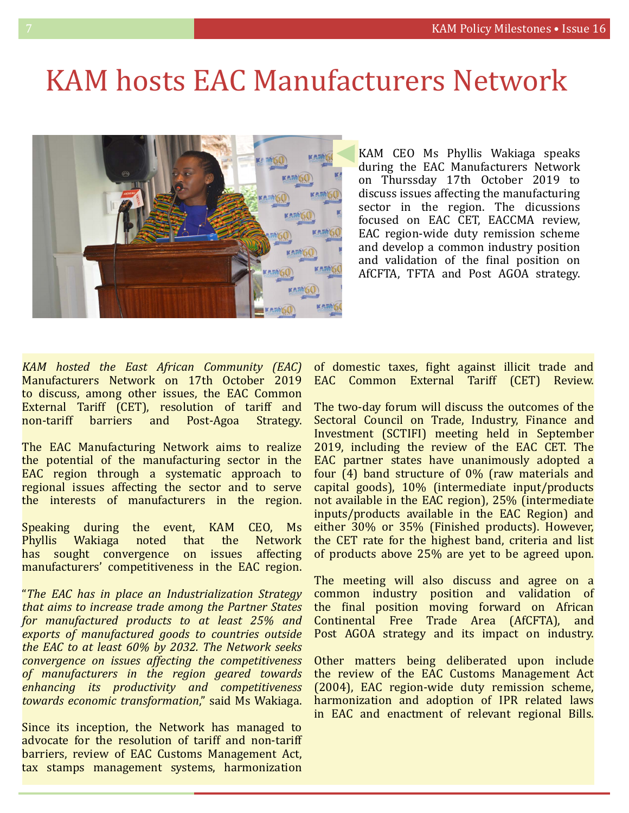### KAM hosts EAC Manufacturers Network



KAM CEO Ms Phyllis Wakiaga speaks during the EAC Manufacturers Network on Thurssday 17th October 2019 to discuss issues affecting the manufacturing sector in the region. The dicussions focused on EAC CET, EACCMA review, EAC region-wide duty remission scheme and develop a common industry position and validation of the final position on AfCFTA, TFTA and Post AGOA strategy.

*KAM hosted the East African Community (EAC)*  Manufacturers Network on 17th October 2019 to discuss, among other issues, the EAC Common External Tariff (CET), resolution of tariff and<br>non-tariff barriers and Post-Agoa Strategy. harriers and

The EAC Manufacturing Network aims to realize the potential of the manufacturing sector in the EAC region through a systematic approach to regional issues affecting the sector and to serve the interests of manufacturers in the region.

Speaking during the event, KAM CEO, Ms<br>Phyllis Wakiaga noted that the Network Wakiaga noted that the Network<br>ght convergence on issues affecting has sought convergence manufacturers' competitiveness in the EAC region.

"*The EAC has in place an Industrialization Strategy that aims to increase trade among the Partner States for manufactured products to at least 25% and exports of manufactured goods to countries outside the EAC to at least 60% by 2032. The Network seeks convergence on issues affecting the competitiveness of manufacturers in the region geared towards enhancing its productivity and competitiveness towards economic transformation*," said Ms Wakiaga.

Since its inception, the Network has managed to advocate for the resolution of tariff and non-tariff barriers, review of EAC Customs Management Act, tax stamps management systems, harmonization

of domestic taxes, fight against illicit trade and EAC Common External Tariff (CET) Review.

The two-day forum will discuss the outcomes of the Sectoral Council on Trade, Industry, Finance and Investment (SCTIFI) meeting held in September 2019, including the review of the EAC CET. The EAC partner states have unanimously adopted a four (4) band structure of 0% (raw materials and capital goods), 10% (intermediate input/products not available in the EAC region), 25% (intermediate inputs/products available in the EAC Region) and either 30% or 35% (Finished products). However, the CET rate for the highest band, criteria and list of products above 25% are yet to be agreed upon.

The meeting will also discuss and agree on a common industry position and validation of the final position moving forward on African Continental Free Trade Area (AfCFTA), and Post AGOA strategy and its impact on industry.

Other matters being deliberated upon include the review of the EAC Customs Management Act (2004), EAC region-wide duty remission scheme, harmonization and adoption of IPR related laws in EAC and enactment of relevant regional Bills.